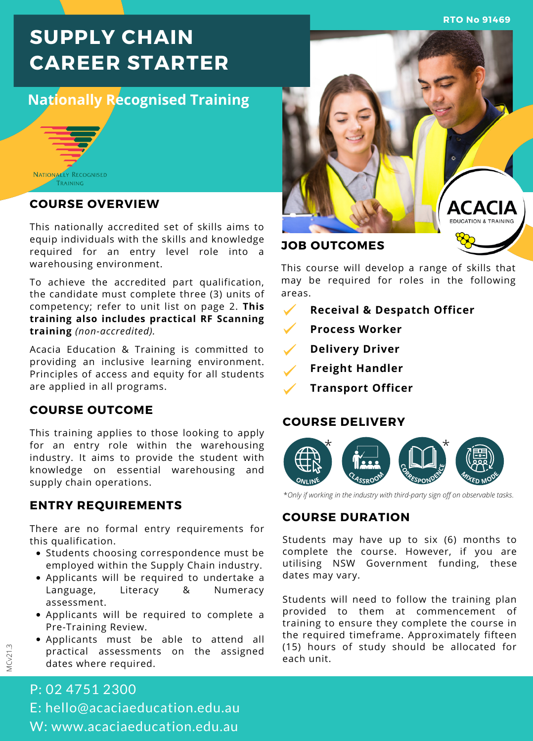**RTO No 91469**

# **SUPPLY CHAIN CAREER STARTER**

# **Nationally Recognised Training**



## **COURSE OVERVIEW**

This nationally accredited set of skills aims to equip individuals with the skills and knowledge required for an entry level role into a warehousing environment.

To achieve the accredited part qualification, the candidate must complete three (3) units of competency; refer to unit list on page 2. **This training also includes practical RF Scanning training** *(non-accredited).*

Acacia Education & Training is committed to providing an inclusive learning environment. Principles of access and equity for all students are applied in all programs.

## **COURSE OUTCOME**

This training applies to those looking to apply for an entry role within the warehousing industry. It aims to provide the student with knowledge on essential warehousing and supply chain operations.

# **ENTRY REQUIREMENTS**

There are no formal entry requirements for this qualification.

- Students choosing correspondence must be employed within the Supply Chain industry.
- Applicants will be required to undertake a Language, Literacy & Numeracy assessment.
- Applicants will be required to complete a Pre-Training Review.
- Applicants must be able to attend all practical assessments on the assigned dates where required.

# **ACACIA DUCATION & TRAINIE**

# **JOB OUTCOMES**

This course will develop a range of skills that may be required for roles in the following areas.

- $\checkmark$ **Receival & Despatch Officer**
- **Process Worker**
- $\checkmark$ **Delivery Driver**
- **Freight Handler**
- **Transport Officer**

## **COURSE DELIVERY**



\**Only if working in the industry with third-party sign off on observable tasks*.

# **COURSE DURATION**

Students may have up to six (6) months to complete the course. However, if you are utilising NSW Government funding, these dates may vary.

Students will need to follow the training plan provided to them at commencement of training to ensure they complete the course in the required timeframe. Approximately fifteen (15) hours of study should be allocated for each unit.

# P: 02 4751 2300 E: hello@acaciaeducation.edu.au W: www.acaciaeducation.edu.au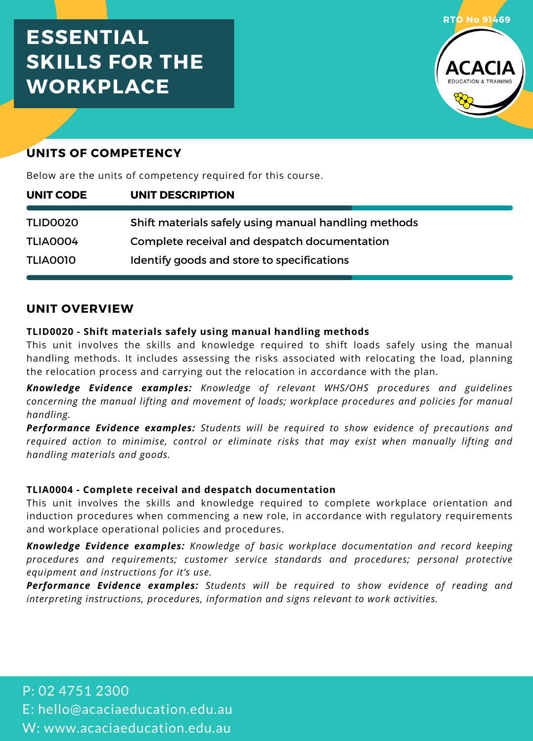# **ESSENTIAL SKILLS FOR THE WORKPLACE**



# **UNITS OF COMPETENCY**

Below are the units of competency required for this course.

| UNIT CODE | UNIT DESCRIPTION                                     |
|-----------|------------------------------------------------------|
| TLID0020  | Shift materials safely using manual handling methods |
| TLIA0004  | Complete receival and despatch documentation         |
| TLIA0010  | Identify goods and store to specifications           |

# **UNIT OVERVIEW**

## **TLID0020 - Shift materials safely using manual handling methods**

This unit involves the skills and knowledge required to shift loads safely using the manual handling methods. It includes assessing the risks associated with relocating the load, planning the relocation process and carrying out the relocation in accordance with the plan.

*Knowledge Evidence examples: Knowledge of relevant WHS/OHS procedures and guidelines concerning the manual lifting and movement of loads; workplace procedures and policies for manual handling.*

*Performance Evidence examples: Students will be required to show evidence of precautions and required action to minimise, control or eliminate risks that may exist when manually lifting and handling materials and goods.*

## **TLIA0004 - Complete receival and despatch documentation**

This unit involves the skills and knowledge required to complete workplace orientation and induction procedures when commencing a new role, in accordance with regulatory requirements and workplace operational policies and procedures.

*Knowledge Evidence examples: Knowledge of basic workplace documentation and record keeping procedures and requirements; customer service standards and procedures; personal protective equipment and instructions for it's use.*

*Performance Evidence examples: Students will be required to show evidence of reading and interpreting instructions, procedures, information and signs relevant to work activities.*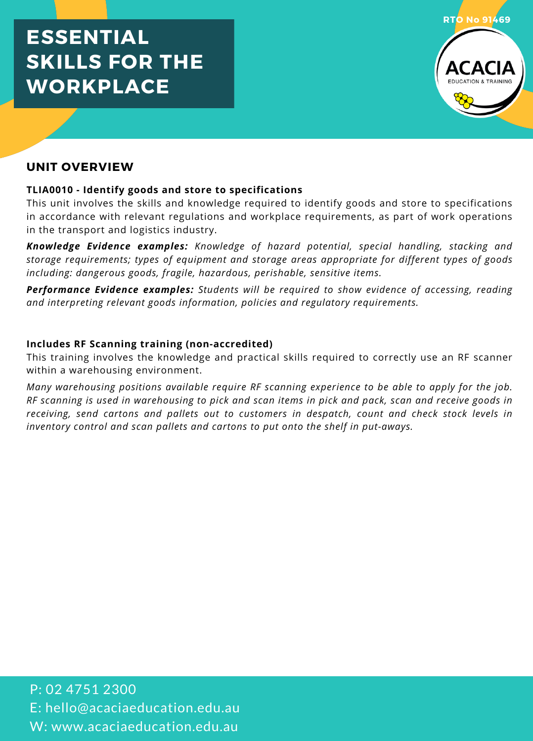# **ESSENTIAL SKILLS FOR THE WORKPLACE**



# **UNIT OVERVIEW**

## **TLIA0010 - Identify goods and store to specifications**

This unit involves the skills and knowledge required to identify goods and store to specifications in accordance with relevant regulations and workplace requirements, as part of work operations in the transport and logistics industry.

*Knowledge Evidence examples: Knowledge of hazard potential, special handling, stacking and storage requirements; types of equipment and storage areas appropriate for different types of goods including: dangerous goods, fragile, hazardous, perishable, sensitive items.*

*Performance Evidence examples: Students will be required to show evidence of accessing, reading and interpreting relevant goods information, policies and regulatory requirements.*

## **Includes RF Scanning training (non-accredited)**

This training involves the knowledge and practical skills required to correctly use an RF scanner within a warehousing environment.

*Many warehousing positions available require RF scanning experience to be able to apply for the job.* RF scanning is used in warehousing to pick and scan items in pick and pack, scan and receive goods in *receiving, send cartons and pallets out to customers in despatch, count and check stock levels in inventory control and scan pallets and cartons to put onto the shelf in put-aways.*